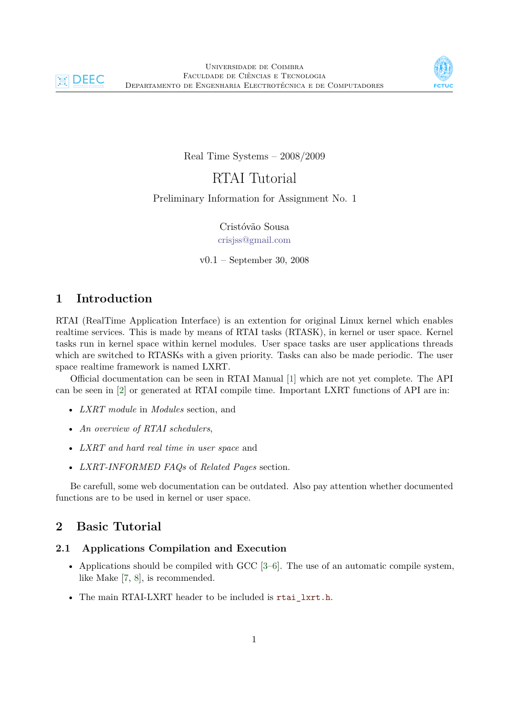



Real Time Systems – 2008/2009

RTAI Tutorial

Preliminary Information for Assignment No. 1

Cristóvão Sousa [crisjss@gmail.com](mailto:crisjss@gmail.com)

v0.1 – September 30, 2008

# **1 Introduction**

RTAI (RealTime Application Interface) is an extention for original Linux kernel which enables realtime services. This is made by means of RTAI tasks (RTASK), in kernel or user space. Kernel tasks run in kernel space within kernel modules. User space tasks are user applications threads which are switched to RTASKs with a given priority. Tasks can also be made periodic. The user space realtime framework is named LXRT.

Official documentation can be seen in RTAI Manual [\[1\]](#page-2-0) which are not yet complete. The API can be seen in [\[2\]](#page-2-1) or generated at RTAI compile time. Important LXRT functions of API are in:

- *LXRT module* in *Modules* section, and
- *An overview of RTAI schedulers*,
- *LXRT and hard real time in user space* and
- *LXRT-INFORMED FAQs* of *Related Pages* section.

Be carefull, some web documentation can be outdated. Also pay attention whether documented functions are to be used in kernel or user space.

# **2 Basic Tutorial**

### **2.1 Applications Compilation and Execution**

- Applications should be compiled with GCC  $[3-6]$  $[3-6]$ . The use of an automatic compile system, like Make [\[7,](#page-3-2) [8\]](#page-3-3), is recommended.
- The main RTAI-LXRT header to be included is rtai\_lxrt.h.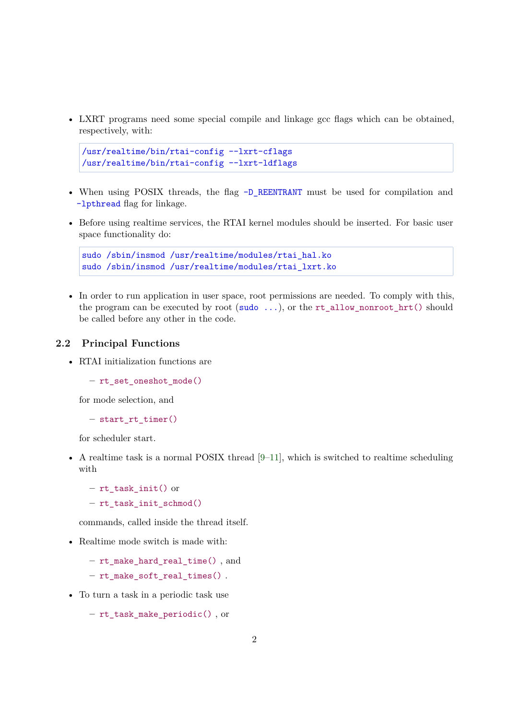• LXRT programs need some special compile and linkage gcc flags which can be obtained, respectively, with:

```
/usr/realtime/bin/rtai-config --lxrt-cflags
/usr/realtime/bin/rtai-config --lxrt-ldflags
```
- When using POSIX threads, the flag -D\_REENTRANT must be used for compilation and -lpthread flag for linkage.
- Before using realtime services, the RTAI kernel modules should be inserted. For basic user space functionality do:

```
sudo /sbin/insmod /usr/realtime/modules/rtai_hal.ko
sudo /sbin/insmod /usr/realtime/modules/rtai_lxrt.ko
```
• In order to run application in user space, root permissions are needed. To comply with this, the program can be executed by root (sudo  $\ldots$ ), or the rt\_allow\_nonroot\_hrt() should be called before any other in the code.

### **2.2 Principal Functions**

• RTAI initialization functions are

**–** rt\_set\_oneshot\_mode()

for mode selection, and

**–** start\_rt\_timer()

for scheduler start.

• A realtime task is a normal POSIX thread  $[9-11]$  $[9-11]$ , which is switched to realtime scheduling with

**–** rt\_task\_init() or

```
– rt_task_init_schmod()
```
commands, called inside the thread itself.

- Realtime mode switch is made with:
	- **–** rt\_make\_hard\_real\_time() , and

**–** rt\_make\_soft\_real\_times() .

• To turn a task in a periodic task use

```
– rt_task_make_periodic() , or
```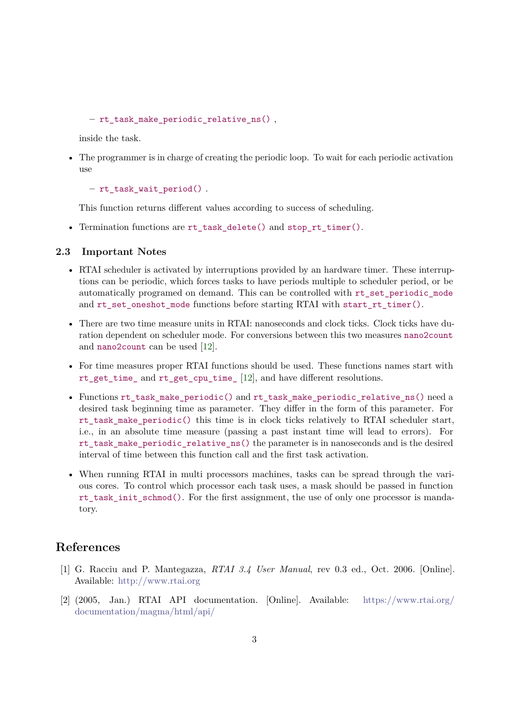**–** rt\_task\_make\_periodic\_relative\_ns() ,

inside the task.

• The programmer is in charge of creating the periodic loop. To wait for each periodic activation use

**–** rt\_task\_wait\_period() .

This function returns different values according to success of scheduling.

• Termination functions are rt\_task\_delete() and stop\_rt\_timer().

#### **2.3 Important Notes**

- RTAI scheduler is activated by interruptions provided by an hardware timer. These interruptions can be periodic, which forces tasks to have periods multiple to scheduler period, or be automatically programed on demand. This can be controlled with rt\_set\_periodic\_mode and rt\_set\_oneshot\_mode functions before starting RTAI with start\_rt\_timer().
- There are two time measure units in RTAI: nanoseconds and clock ticks. Clock ticks have duration dependent on scheduler mode. For conversions between this two measures nano2count and nano2count can be used [\[12\]](#page-3-6).
- For time measures proper RTAI functions should be used. These functions names start with rt\_get\_time\_ and rt\_get\_cpu\_time\_ [\[12\]](#page-3-6), and have different resolutions.
- Functions rt\_task\_make\_periodic() and rt\_task\_make\_periodic\_relative\_ns() need a desired task beginning time as parameter. They differ in the form of this parameter. For rt\_task\_make\_periodic() this time is in clock ticks relatively to RTAI scheduler start, i.e., in an absolute time measure (passing a past instant time will lead to errors). For rt\_task\_make\_periodic\_relative\_ns() the parameter is in nanoseconds and is the desired interval of time between this function call and the first task activation.
- When running RTAI in multi processors machines, tasks can be spread through the various cores. To control which processor each task uses, a mask should be passed in function rt task init schmod(). For the first assignment, the use of only one processor is mandatory.

### **References**

- <span id="page-2-0"></span>[1] G. Racciu and P. Mantegazza, *RTAI 3.4 User Manual*, rev 0.3 ed., Oct. 2006. [Online]. Available: <http://www.rtai.org>
- <span id="page-2-1"></span>[2] (2005, Jan.) RTAI API documentation. [Online]. Available: [https://www.rtai.org/](https://www.rtai.org/documentation/magma/html/api/) [documentation/magma/html/api/](https://www.rtai.org/documentation/magma/html/api/)